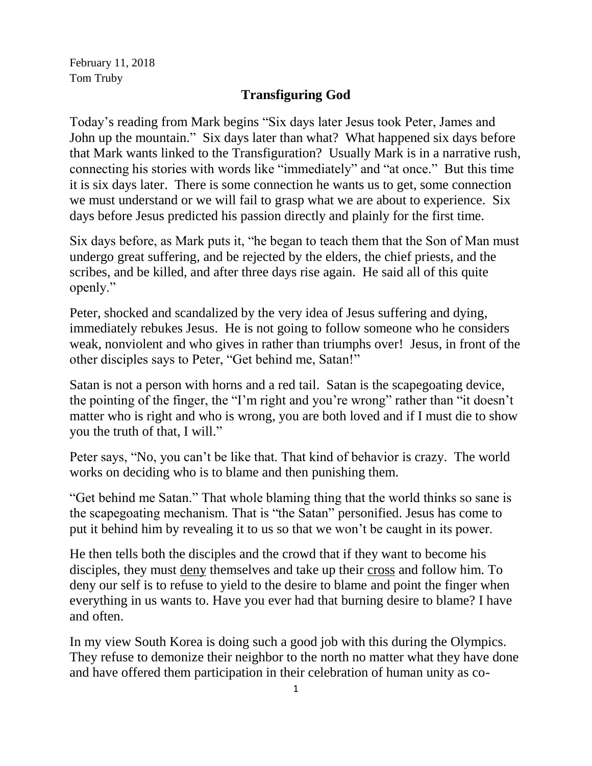February 11, 2018 Tom Truby

## **Transfiguring God**

Today's reading from Mark begins "Six days later Jesus took Peter, James and John up the mountain." Six days later than what? What happened six days before that Mark wants linked to the Transfiguration? Usually Mark is in a narrative rush, connecting his stories with words like "immediately" and "at once." But this time it is six days later. There is some connection he wants us to get, some connection we must understand or we will fail to grasp what we are about to experience. Six days before Jesus predicted his passion directly and plainly for the first time.

Six days before, as Mark puts it, "he began to teach them that the Son of Man must undergo great suffering, and be rejected by the elders, the chief priests, and the scribes, and be killed, and after three days rise again. He said all of this quite openly."

Peter, shocked and scandalized by the very idea of Jesus suffering and dying, immediately rebukes Jesus. He is not going to follow someone who he considers weak, nonviolent and who gives in rather than triumphs over! Jesus, in front of the other disciples says to Peter, "Get behind me, Satan!"

Satan is not a person with horns and a red tail. Satan is the scapegoating device, the pointing of the finger, the "I'm right and you're wrong" rather than "it doesn't matter who is right and who is wrong, you are both loved and if I must die to show you the truth of that, I will."

Peter says, "No, you can't be like that. That kind of behavior is crazy. The world works on deciding who is to blame and then punishing them.

"Get behind me Satan." That whole blaming thing that the world thinks so sane is the scapegoating mechanism. That is "the Satan" personified. Jesus has come to put it behind him by revealing it to us so that we won't be caught in its power.

He then tells both the disciples and the crowd that if they want to become his disciples, they must deny themselves and take up their cross and follow him. To deny our self is to refuse to yield to the desire to blame and point the finger when everything in us wants to. Have you ever had that burning desire to blame? I have and often.

In my view South Korea is doing such a good job with this during the Olympics. They refuse to demonize their neighbor to the north no matter what they have done and have offered them participation in their celebration of human unity as co-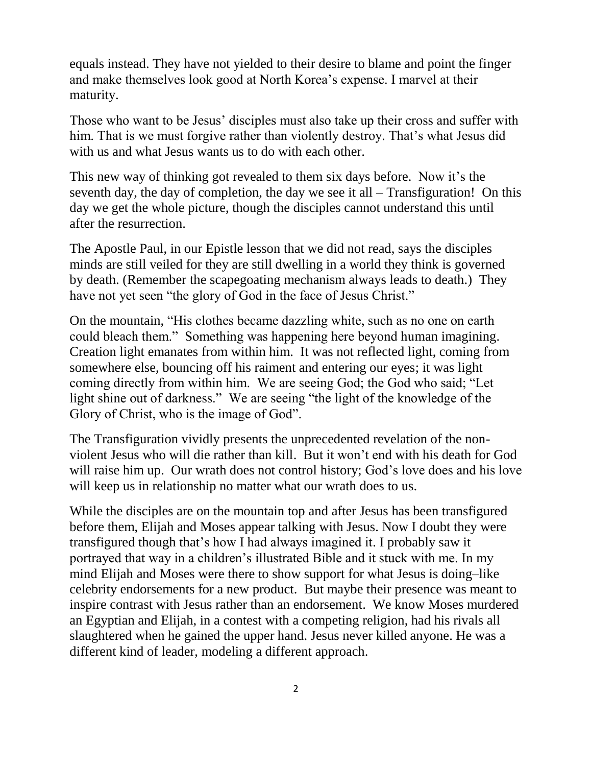equals instead. They have not yielded to their desire to blame and point the finger and make themselves look good at North Korea's expense. I marvel at their maturity.

Those who want to be Jesus' disciples must also take up their cross and suffer with him. That is we must forgive rather than violently destroy. That's what Jesus did with us and what Jesus wants us to do with each other.

This new way of thinking got revealed to them six days before. Now it's the seventh day, the day of completion, the day we see it all – Transfiguration! On this day we get the whole picture, though the disciples cannot understand this until after the resurrection.

The Apostle Paul, in our Epistle lesson that we did not read, says the disciples minds are still veiled for they are still dwelling in a world they think is governed by death. (Remember the scapegoating mechanism always leads to death.) They have not yet seen "the glory of God in the face of Jesus Christ."

On the mountain, "His clothes became dazzling white, such as no one on earth could bleach them." Something was happening here beyond human imagining. Creation light emanates from within him. It was not reflected light, coming from somewhere else, bouncing off his raiment and entering our eyes; it was light coming directly from within him. We are seeing God; the God who said; "Let light shine out of darkness." We are seeing "the light of the knowledge of the Glory of Christ, who is the image of God".

The Transfiguration vividly presents the unprecedented revelation of the nonviolent Jesus who will die rather than kill. But it won't end with his death for God will raise him up. Our wrath does not control history; God's love does and his love will keep us in relationship no matter what our wrath does to us.

While the disciples are on the mountain top and after Jesus has been transfigured before them, Elijah and Moses appear talking with Jesus. Now I doubt they were transfigured though that's how I had always imagined it. I probably saw it portrayed that way in a children's illustrated Bible and it stuck with me. In my mind Elijah and Moses were there to show support for what Jesus is doing–like celebrity endorsements for a new product. But maybe their presence was meant to inspire contrast with Jesus rather than an endorsement. We know Moses murdered an Egyptian and Elijah, in a contest with a competing religion, had his rivals all slaughtered when he gained the upper hand. Jesus never killed anyone. He was a different kind of leader, modeling a different approach.